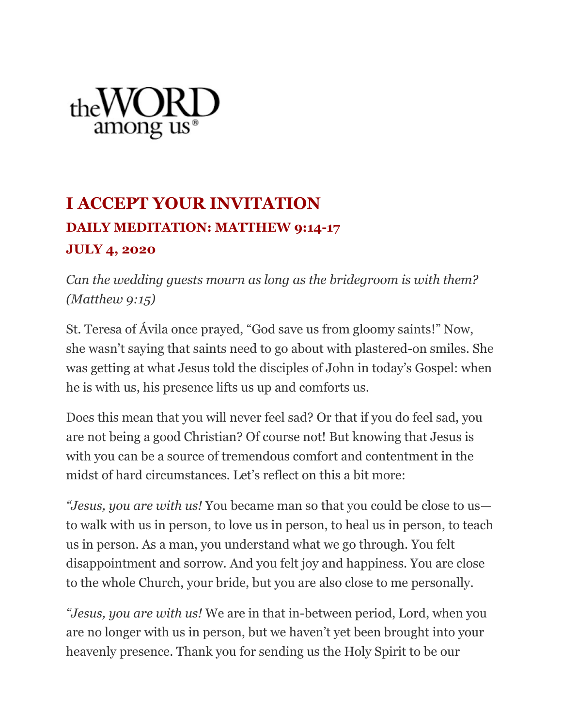

## **I ACCEPT YOUR INVITATION DAILY MEDITATION: MATTHEW 9:14-17 JULY 4, 2020**

*Can the wedding guests mourn as long as the bridegroom is with them? (Matthew 9:15)*

St. Teresa of Ávila once prayed, "God save us from gloomy saints!" Now, she wasn't saying that saints need to go about with plastered-on smiles. She was getting at what Jesus told the disciples of John in today's Gospel: when he is with us, his presence lifts us up and comforts us.

Does this mean that you will never feel sad? Or that if you do feel sad, you are not being a good Christian? Of course not! But knowing that Jesus is with you can be a source of tremendous comfort and contentment in the midst of hard circumstances. Let's reflect on this a bit more:

*"Jesus, you are with us!* You became man so that you could be close to us to walk with us in person, to love us in person, to heal us in person, to teach us in person. As a man, you understand what we go through. You felt disappointment and sorrow. And you felt joy and happiness. You are close to the whole Church, your bride, but you are also close to me personally.

*"Jesus, you are with us!* We are in that in-between period, Lord, when you are no longer with us in person, but we haven't yet been brought into your heavenly presence. Thank you for sending us the Holy Spirit to be our